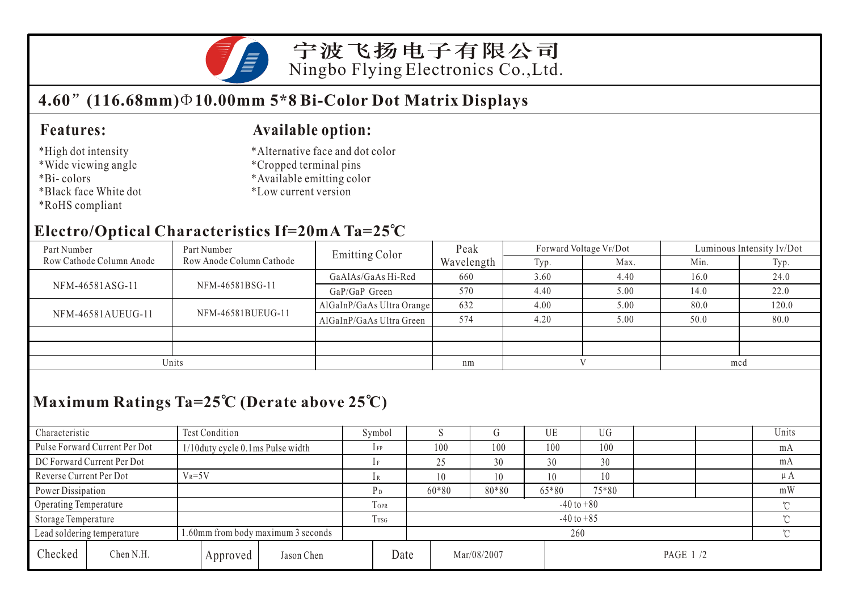

宁波飞扬电子有限公司 Ningbo Flying Electronics Co.,Ltd.

# **4.60 (116.68mm) 10.00mm 5\*8 Bi-Color Dot Matrix Displays**

#### **Features:**

#### \*High dot intensity

- \*Wide viewing angle
- \*Bi- colors
- \*Black face White dot
- \*RoHS compliant

### **Available option:**

- \*Alternative face and dot color
- \*Cropped terminal pins
- \*Available emitting color
- \*Low current version

## **Electro/Optical Characteristics If=20mA Ta=25 C**

| Part Number              | Part Number              | <b>Emitting Color</b>     | Peak       |      | Forward Voltage VF/Dot | Luminous Intensity Iv/Dot |       |  |
|--------------------------|--------------------------|---------------------------|------------|------|------------------------|---------------------------|-------|--|
| Row Cathode Column Anode | Row Anode Column Cathode |                           | Wavelength | Typ. | Max.                   | Min.                      | Typ.  |  |
| NFM-46581ASG-11          |                          | GaAlAs/GaAs Hi-Red        | 660        | 3.60 | 4.40                   | 16.0                      | 24.0  |  |
|                          | NFM-46581BSG-11          | GaP/GaP Green             | 570        | 4.40 | 5.00                   | 14.0                      | 22.0  |  |
| NFM-46581AUEUG-11        |                          | AlGaInP/GaAs Ultra Orange | 632        | 4.00 | 5.00                   | 80.0                      | 120.0 |  |
|                          | NFM-46581BUEUG-11        | AlGaInP/GaAs Ultra Green  | 574        | 4.20 | 5.00                   | 50.0                      | 80.0  |  |
|                          |                          |                           |            |      |                        |                           |       |  |
|                          |                          |                           |            |      |                        |                           |       |  |
| Units                    |                          | nm                        |            |      | mcd                    |                           |       |  |

# **Maximum Ratings Ta=25 C (Derate above 25 C)**

| Characteristic                                                   |                               | Test Condition                   |          |                |      | Symbol         |                |             |       | UE    | UG        |  |  | Units   |
|------------------------------------------------------------------|-------------------------------|----------------------------------|----------|----------------|------|----------------|----------------|-------------|-------|-------|-----------|--|--|---------|
|                                                                  | Pulse Forward Current Per Dot | 1/10duty cycle 0.1ms Pulse width |          |                |      | $1$ FP         |                | 100         | 100   | 100   | 100       |  |  | mA      |
| DC Forward Current Per Dot                                       |                               |                                  |          |                |      | 1F             |                | 25          | 30    | 30    | 30        |  |  | mA      |
| Reverse Current Per Dot                                          |                               | $V_R = 5V$                       |          |                |      | 1R             |                | 10          | 10    | 10    | 10        |  |  | $\mu A$ |
| Power Dissipation                                                |                               |                                  |          |                |      | P <sub>D</sub> |                | 60*80       | 80*80 | 65*80 | 75*80     |  |  | mW      |
| Operating Temperature                                            |                               |                                  |          |                | TOPR |                | $-40$ to $+80$ |             |       |       |           |  |  |         |
| Storage Temperature                                              |                               |                                  | Trsg     | $-40$ to $+85$ |      |                |                |             |       |       |           |  |  |         |
| 1.60mm from body maximum 3 seconds<br>Lead soldering temperature |                               |                                  |          |                |      | 260            |                |             |       |       |           |  |  |         |
| Checked                                                          | Chen N.H.                     |                                  | Approved | Jason Chen     | Date |                |                | Mar/08/2007 |       |       | PAGE 1 /2 |  |  |         |